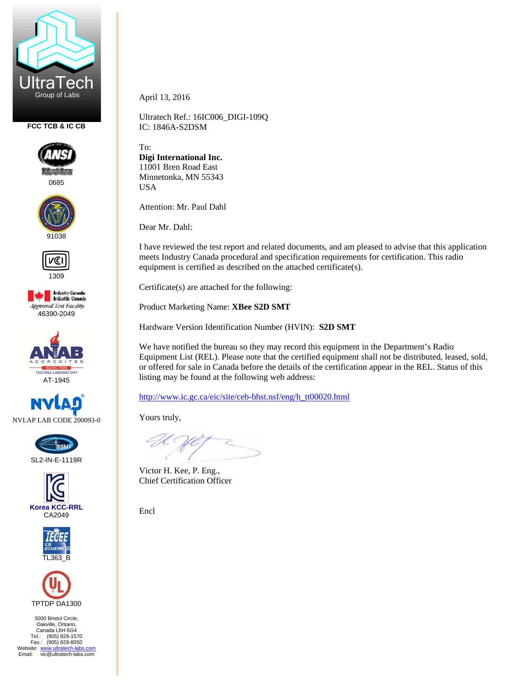

**FCC TCB & IC CB** 



0685





1309







SL2-IN-E-1119R







3000 Bristol Circle, Oakville, Ontario, Canada L6H 6G4 Tel.: (905) 829-1570 Fax.: (905) 829-8050 Website: www.ultratech-labs.com<br>Email: vic@ultratech-labs.com April 13, 2016

Ultratech Ref.: 16IC006\_DIGI-109Q IC: 1846A-S2DSM

To: **Digi International Inc.**  11001 Bren Road East Minnetonka, MN 55343 USA

Attention: Mr. Paul Dahl

Dear Mr. Dahl:

I have reviewed the test report and related documents, and am pleased to advise that this application meets Industry Canada procedural and specification requirements for certification. This radio equipment is certified as described on the attached certificate(s).

Certificate(s) are attached for the following: Product Marketing Name: **XBee S2D SMT** 

Hardware Version Identification Number (HVIN): **S2D SMT** 

We have notified the bureau so they may record this equipment in the Department's Radio Equipment List (REL). Please note that the certified equipment shall not be distributed, leased, sold, or offered for sale in Canada before the details of the certification appear in the REL. Status of this listing may be found at the following web address:

http://www.ic.gc.ca/eic/site/ceb-bhst.nsf/eng/h\_tt00020.html

Yours truly,

Victor H. Kee, P. Eng., Chief Certification Officer

Encl